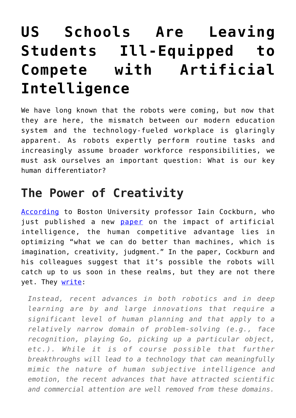## **[US Schools Are Leaving](https://intellectualtakeout.org/2019/02/us-schools-are-leaving-students-ill-equipped-to-compete-with-artificial-intelligence/) [Students Ill-Equipped to](https://intellectualtakeout.org/2019/02/us-schools-are-leaving-students-ill-equipped-to-compete-with-artificial-intelligence/) [Compete with Artificial](https://intellectualtakeout.org/2019/02/us-schools-are-leaving-students-ill-equipped-to-compete-with-artificial-intelligence/) [Intelligence](https://intellectualtakeout.org/2019/02/us-schools-are-leaving-students-ill-equipped-to-compete-with-artificial-intelligence/)**

We have long known that the robots were coming, but now that they are here, the mismatch between our modern education system and the technology-fueled workplace is glaringly apparent. As robots expertly perform routine tasks and increasingly assume broader workforce responsibilities, we must ask ourselves an important question: What is our key human differentiator?

## **The Power of Creativity**

[According](https://www.boston25news.com/news/the-robots-are-coming-to-your-workplace-what-it-means-for-human-workers/920013010) to Boston University professor Iain Cockburn, who just published a new [paper](https://www.nber.org/chapters/c14006.pdf) on the impact of artificial intelligence, the human competitive advantage lies in optimizing "what we can do better than machines, which is imagination, creativity, judgment." In the paper, Cockburn and his colleagues suggest that it's possible the robots will catch up to us soon in these realms, but they are not there yet. They [write](https://www.nber.org/chapters/c14006.pdf):

*Instead, recent advances in both robotics and in deep learning are by and large innovations that require a significant level of human planning and that apply to a relatively narrow domain of problem-solving (e.g., face recognition, playing Go, picking up a particular object, etc.). While it is of course possible that further breakthroughs will lead to a technology that can meaningfully mimic the nature of human subjective intelligence and emotion, the recent advances that have attracted scientific and commercial attention are well removed from these domains.*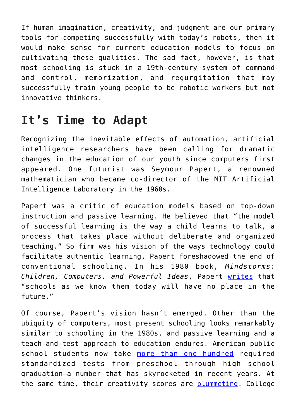If human imagination, creativity, and judgment are our primary tools for competing successfully with today's robots, then it would make sense for current education models to focus on cultivating these qualities. The sad fact, however, is that most schooling is stuck in a 19th-century system of command and control, memorization, and regurgitation that may successfully train young people to be robotic workers but not innovative thinkers.

## **It's Time to Adapt**

Recognizing the inevitable effects of automation, artificial intelligence researchers have been calling for dramatic changes in the education of our youth since computers first appeared. One futurist was Seymour Papert, a renowned mathematician who became co-director of the MIT Artificial Intelligence Laboratory in the 1960s.

Papert was a critic of education models based on top-down instruction and passive learning. He believed that "the model of successful learning is the way a child learns to talk, a process that takes place without deliberate and organized teaching." So firm was his vision of the ways technology could facilitate authentic learning, Papert foreshadowed the end of conventional schooling. In his 1980 book, *Mindstorms: Children, Computers, and Powerful Ideas*, Papert [writes](https://books.google.com/books/about/Mindstorms.html?id=qaYX8_oXmdQC&redir_esc=y) that "schools as we know them today will have no place in the future."

Of course, Papert's vision hasn't emerged. Other than the ubiquity of computers, most present schooling looks remarkably similar to schooling in the 1980s, and passive learning and a teach-and-test approach to education endures. American public school students now take [more than one hundred](https://www.washingtonpost.com/local/education/study-says-standardized-testing-is-overwhelming-nations-public-schools/2015/10/24/8a22092c-79ae-11e5-a958-d889faf561dc_story.html?utm_term=.6c3b88ed6e08) required standardized tests from preschool through high school graduation—a number that has skyrocketed in recent years. At the same time, their creativity scores are [plummeting.](https://www.newsweek.com/creativity-crisis-74665) College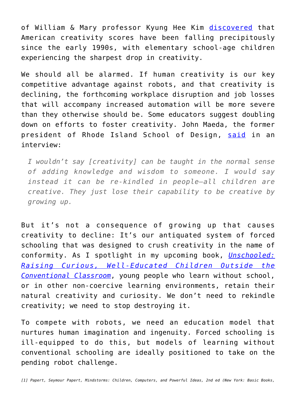of William & Mary professor Kyung Hee Kim [discovered](http://www.amazon.com/Creativity-Challenge-Recapture-American-Innovation/dp/1633882152/) that American creativity scores have been falling precipitously since the early 1990s, with elementary school-age children experiencing the sharpest drop in creativity.

We should all be alarmed. If human creativity is our key competitive advantage against robots, and that creativity is declining, the forthcoming workplace disruption and job losses that will accompany increased automation will be more severe than they otherwise should be. Some educators suggest doubling down on efforts to foster creativity. John Maeda, the former president of Rhode Island School of Design, [said](http://knowledge.wharton.upenn.edu/article/can-creativity-be-taught/) in an interview:

*I wouldn't say [creativity] can be taught in the normal sense of adding knowledge and wisdom to someone. I would say instead it can be re-kindled in people—all children are creative. They just lose their capability to be creative by growing up.*

But it's not a consequence of growing up that causes creativity to decline: It's our antiquated system of forced schooling that was designed to crush creativity in the name of conformity. As I spotlight in my upcoming book, *[Unschooled:](http://www.amazon.com/Unschooled-Well-Educated-Children-Conventional-Classroom/dp/1641600632/) [Raising Curious, Well-Educated Children Outside the](http://www.amazon.com/Unschooled-Well-Educated-Children-Conventional-Classroom/dp/1641600632/) [Conventional Classroom](http://www.amazon.com/Unschooled-Well-Educated-Children-Conventional-Classroom/dp/1641600632/)*, young people who learn without school, or in other non-coercive learning environments, retain their natural creativity and curiosity. We don't need to rekindle creativity; we need to stop destroying it.

To compete with robots, we need an education model that nurtures human imagination and ingenuity. Forced schooling is ill-equipped to do this, but models of learning without conventional schooling are ideally positioned to take on the pending robot challenge.

*[1] Papert, Seymour Papert, Mindstorms: Children, Computers, and Powerful Ideas, 2nd ed (New York: Basic Books,*